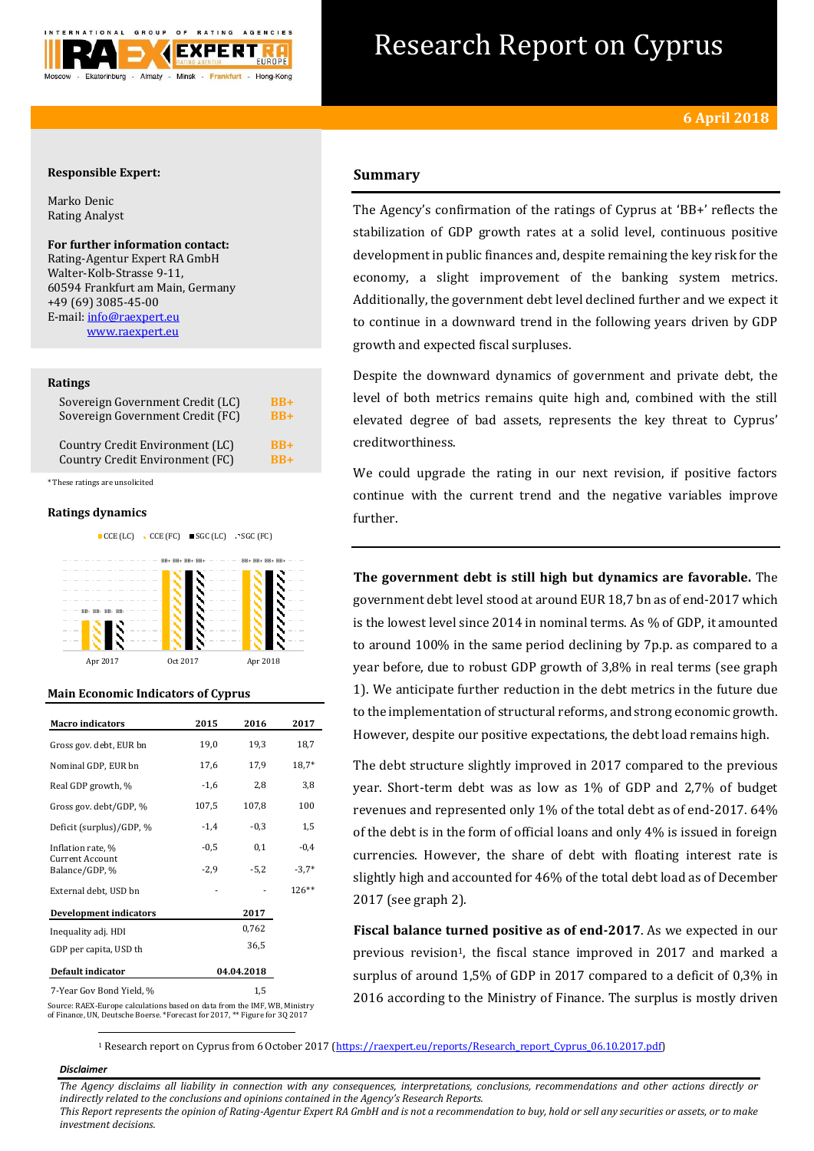

# Research Report on Cyprus

## **Responsible Expert:**

Marko Denic Rating Analyst

## **For further information contact:**

Rating-Agentur Expert RA GmbH Walter-Kolb-Strasse 9-11, 60594 Frankfurt am Main, Germany +49 (69) 3085-45-00 E-mail[: info@raexpert.eu](mailto:info@raexpert.eu) [www.raexpert.eu](http://raexpert.eu/)

## **Ratings**

| Sovereign Government Credit (LC) | $\overline{BB+}$ |
|----------------------------------|------------------|
| Sovereign Government Credit (FC) | $RB+$            |
| Country Credit Environment (LC)  | $RB+$            |
| Country Credit Environment (FC)  | $RB+$            |

\* These ratings are unsolicited

## **Ratings dynamics**

 $CCE$  (LC)  $C$  CCE (FC)  $SGC$  (LC) SGC (FC)



## **Main Economic Indicators of Cyprus**

| 2015       | 2016   | 2017                                                                      |  |
|------------|--------|---------------------------------------------------------------------------|--|
| 19,0       | 19,3   | 18,7                                                                      |  |
| 17,6       | 17,9   | $18,7*$                                                                   |  |
| $-1,6$     | 2,8    | 3,8                                                                       |  |
| 107,5      | 107,8  | 100                                                                       |  |
| $-1,4$     | $-0,3$ | 1,5                                                                       |  |
| $-0,5$     | 0,1    | $-0.4$                                                                    |  |
| $-2,9$     | $-5.2$ | $-3,7*$                                                                   |  |
|            |        | $126**$                                                                   |  |
|            | 2017   |                                                                           |  |
|            | 0,762  |                                                                           |  |
|            | 36,5   |                                                                           |  |
| 04.04.2018 |        |                                                                           |  |
| 1,5        |        |                                                                           |  |
|            |        | Course, DAEV Europe solsulations besed on data from the IME MID Ministers |  |

Source: RAEX-Europe calculations based on data from the IMF, WB, Ministry of Finance, UN, Deutsche Boerse. \*Forecast for 2017, \*\* Figure for 3Q 2017

## **Summary**

The Agency's confirmation of the ratings of Cyprus at 'BB+' reflects the stabilization of GDP growth rates at a solid level, continuous positive development in public finances and, despite remaining the key risk for the economy, a slight improvement of the banking system metrics. Additionally, the government debt level declined further and we expect it to continue in a downward trend in the following years driven by GDP growth and expected fiscal surpluses.

Despite the downward dynamics of government and private debt, the level of both metrics remains quite high and, combined with the still elevated degree of bad assets, represents the key threat to Cyprus' creditworthiness.

We could upgrade the rating in our next revision, if positive factors continue with the current trend and the negative variables improve further.

**The government debt is still high but dynamics are favorable.** The government debt level stood at around EUR 18,7 bn as of end-2017 which is the lowest level since 2014 in nominal terms. As % of GDP, it amounted to around 100% in the same period declining by 7p.p. as compared to a year before, due to robust GDP growth of 3,8% in real terms (see graph 1). We anticipate further reduction in the debt metrics in the future due to the implementation of structural reforms, and strong economic growth. However, despite our positive expectations, the debt load remains high.

The debt structure slightly improved in 2017 compared to the previous year. Short-term debt was as low as 1% of GDP and 2,7% of budget revenues and represented only 1% of the total debt as of end-2017. 64% of the debt is in the form of official loans and only 4% is issued in foreign currencies. However, the share of debt with floating interest rate is slightly high and accounted for 46% of the total debt load as of December 2017 (see graph 2).

**Fiscal balance turned positive as of end-2017**. As we expected in our previous revision<sup>1</sup>, the fiscal stance improved in 2017 and marked a surplus of around 1,5% of GDP in 2017 compared to a deficit of 0,3% in 2016 according to the Ministry of Finance. The surplus is mostly driven

<sup>1</sup> Research report on Cyprus from 6 October 2017 [\(https://raexpert.eu/reports/Research\\_report\\_Cyprus\\_06.10.2017.pdf\)](https://raexpert.eu/reports/Research_report_Cyprus_06.10.2017.pdf)

## *Disclaimer*

1

*The Agency disclaims all liability in connection with any consequences, interpretations, conclusions, recommendations and other actions directly or indirectly related to the conclusions and opinions contained in the Agency's Research Reports.*

*This Report represents the opinion of Rating-Agentur Expert RA GmbH and is not a recommendation to buy, hold or sell any securities or assets, or to make investment decisions.*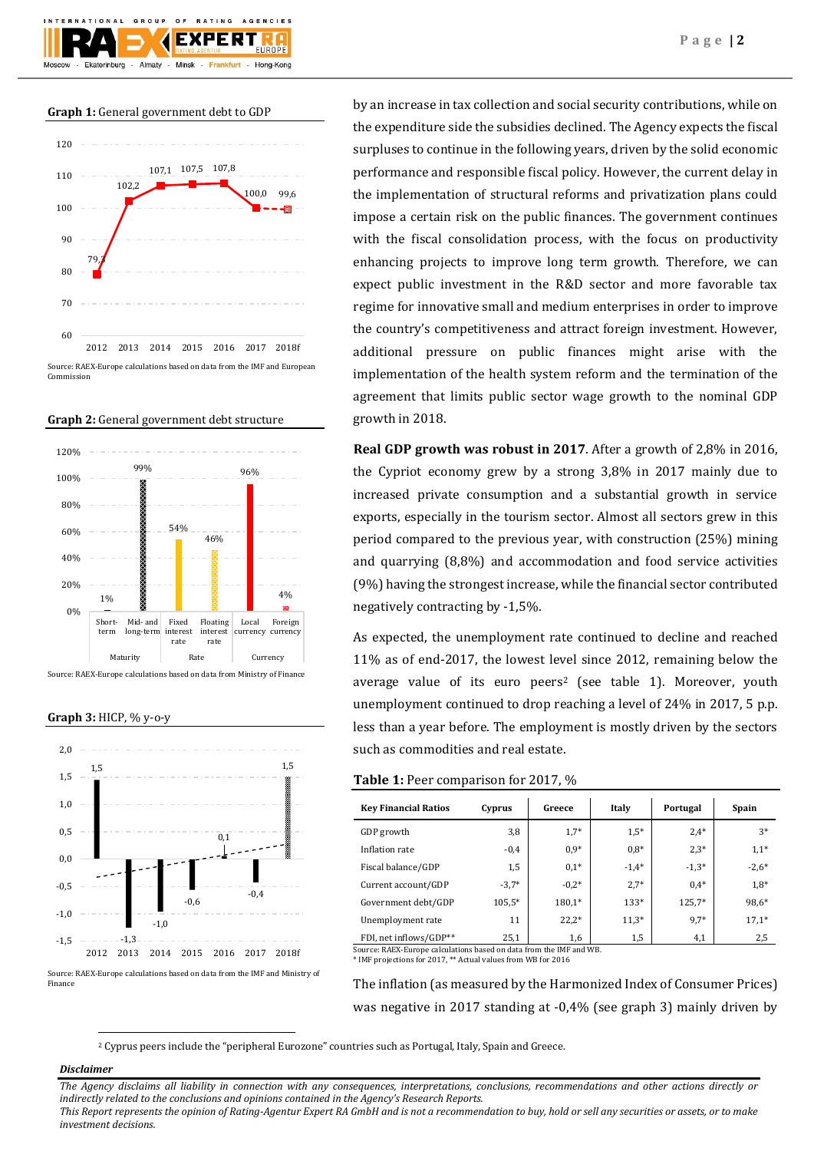F X I

 $O F$ 

AGENCIES

**Graph 1:** General government debt to GDP

GROUP







Source: RAEX-Europe calculations based on data from Ministry of Finance

**Graph 3:** HICP, % y-o-y



Source: RAEX-Europe calculations based on data from the IMF and Ministry of Finance

by an increase in tax collection and social security contributions, while on the expenditure side the subsidies declined. The Agency expects the fiscal surpluses to continue in the following years, driven by the solid economic performance and responsible fiscal policy. However, the current delay in the implementation of structural reforms and privatization plans could impose a certain risk on the public finances. The government continues with the fiscal consolidation process, with the focus on productivity enhancing projects to improve long term growth. Therefore, we can expect public investment in the R&D sector and more favorable tax regime for innovative small and medium enterprises in order to improve the country's competitiveness and attract foreign investment. However, additional pressure on public finances might arise with the implementation of the health system reform and the termination of the agreement that limits public sector wage growth to the nominal GDP growth in 2018.

**Real GDP growth was robust in 2017**. After a growth of 2,8% in 2016, the Cypriot economy grew by a strong 3,8% in 2017 mainly due to increased private consumption and a substantial growth in service exports, especially in the tourism sector. Almost all sectors grew in this period compared to the previous year, with construction (25%) mining and quarrying (8,8%) and accommodation and food service activities (9%) having the strongest increase, while the financial sector contributed negatively contracting by -1,5%.

As expected, the unemployment rate continued to decline and reached 11% as of end-2017, the lowest level since 2012, remaining below the average value of its euro peers<sup>2</sup> (see table 1). Moreover, youth unemployment continued to drop reaching a level of 24% in 2017, 5 p.p. less than a year before. The employment is mostly driven by the sectors such as commodities and real estate.

## **Table 1:** Peer comparison for 2017, %

| <b>Key Financial Ratios</b> | Cyprus  | Greece  | Italy   | Portugal | Spain   |
|-----------------------------|---------|---------|---------|----------|---------|
| GDP growth                  | 3,8     | $1,7*$  | $1,5*$  | $2.4*$   | $3*$    |
| Inflation rate              | $-0.4$  | $0.9*$  | $0.8*$  | $2.3*$   | $1,1*$  |
| Fiscal balance/GDP          | 1,5     | $0.1*$  | $-1,4*$ | $-1,3*$  | $-2,6*$ |
| Current account/GDP         | $-3,7*$ | $-0.2*$ | $2.7*$  | $0.4*$   | $1.8*$  |
| Government debt/GDP         | 105,5*  | 180,1*  | 133*    | 125,7*   | 98,6*   |
| Unemployment rate           | 11      | $22.2*$ | $11,3*$ | 9,7*     | $17,1*$ |
| FDI, net inflows/GDP**      | 25,1    | 1,6     | 1,5     | 4,1      | 2,5     |

Source: RAEX-Europe calculations based on data from the IMF and WB. \* IMF projections for 2017, \*\* Actual values from WB for 2016

The inflation (as measured by the Harmonized Index of Consumer Prices) was negative in 2017 standing at -0,4% (see graph 3) mainly driven by

<sup>2</sup> Cyprus peers include the "peripheral Eurozone" countries such as Portugal, Italy, Spain and Greece.

### *Disclaimer*

1

*The Agency disclaims all liability in connection with any consequences, interpretations, conclusions, recommendations and other actions directly or indirectly related to the conclusions and opinions contained in the Agency's Research Reports.*

*This Report represents the opinion of Rating-Agentur Expert RA GmbH and is not a recommendation to buy, hold or sell any securities or assets, or to make investment decisions.*